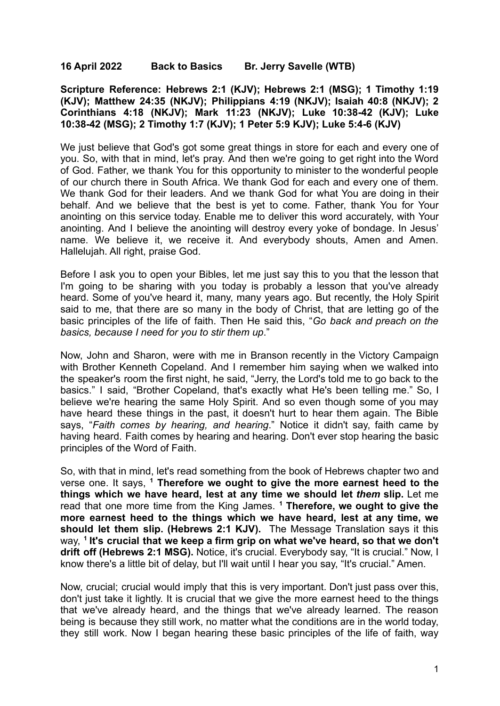## **16 April 2022 Back to Basics Br. Jerry Savelle (WTB)**

**Scripture Reference: Hebrews 2:1 (KJV); Hebrews 2:1 (MSG); 1 Timothy 1:19 (KJV); Matthew 24:35 (NKJV); Philippians 4:19 (NKJV); Isaiah 40:8 (NKJV); 2 Corinthians 4:18 (NKJV); Mark 11:23 (NKJV); Luke 10:38-42 (KJV); Luke 10:38-42 (MSG); 2 Timothy 1:7 (KJV); 1 Peter 5:9 KJV); Luke 5:4-6 (KJV)**

We just believe that God's got some great things in store for each and every one of you. So, with that in mind, let's pray. And then we're going to get right into the Word of God. Father, we thank You for this opportunity to minister to the wonderful people of our church there in South Africa. We thank God for each and every one of them. We thank God for their leaders. And we thank God for what You are doing in their behalf. And we believe that the best is yet to come. Father, thank You for Your anointing on this service today. Enable me to deliver this word accurately, with Your anointing. And I believe the anointing will destroy every yoke of bondage. In Jesus' name. We believe it, we receive it. And everybody shouts, Amen and Amen. Hallelujah. All right, praise God.

Before I ask you to open your Bibles, let me just say this to you that the lesson that I'm going to be sharing with you today is probably a lesson that you've already heard. Some of you've heard it, many, many years ago. But recently, the Holy Spirit said to me, that there are so many in the body of Christ, that are letting go of the basic principles of the life of faith. Then He said this, "*Go back and preach on the basics, because I need for you to stir them up*."

Now, John and Sharon, were with me in Branson recently in the Victory Campaign with Brother Kenneth Copeland. And I remember him saying when we walked into the speaker's room the first night, he said, "Jerry, the Lord's told me to go back to the basics." I said, "Brother Copeland, that's exactly what He's been telling me." So, I believe we're hearing the same Holy Spirit. And so even though some of you may have heard these things in the past, it doesn't hurt to hear them again. The Bible says, "*Faith comes by hearing, and hearing*." Notice it didn't say, faith came by having heard. Faith comes by hearing and hearing. Don't ever stop hearing the basic principles of the Word of Faith.

So, with that in mind, let's read something from the book of Hebrews chapter two and verse one. It says, **<sup>1</sup> Therefore we ought to give the more earnest heed to the things which we have heard, lest at any time we should let** *them* **slip.** Let me read that one more time from the King James. **<sup>1</sup> Therefore, we ought to give the more earnest heed to the things which we have heard, lest at any time, we should let them slip. (Hebrews 2:1 KJV).** The Message Translation says it this way, **1 It's crucial that we keep a firm grip on what we've heard, so that we don't drift off (Hebrews 2:1 MSG).** Notice, it's crucial. Everybody say, "It is crucial." Now, I know there's a little bit of delay, but I'll wait until I hear you say, "It's crucial." Amen.

Now, crucial; crucial would imply that this is very important. Don't just pass over this, don't just take it lightly. It is crucial that we give the more earnest heed to the things that we've already heard, and the things that we've already learned. The reason being is because they still work, no matter what the conditions are in the world today, they still work. Now I began hearing these basic principles of the life of faith, way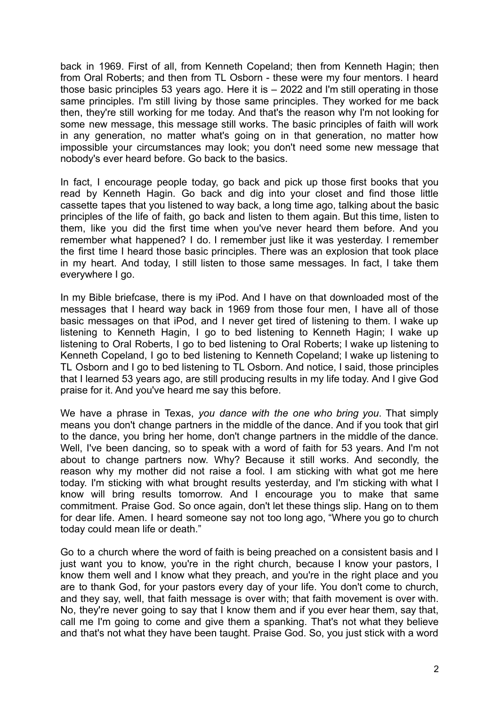back in 1969. First of all, from Kenneth Copeland; then from Kenneth Hagin; then from Oral Roberts; and then from TL Osborn - these were my four mentors. I heard those basic principles 53 years ago. Here it is – 2022 and I'm still operating in those same principles. I'm still living by those same principles. They worked for me back then, they're still working for me today. And that's the reason why I'm not looking for some new message, this message still works. The basic principles of faith will work in any generation, no matter what's going on in that generation, no matter how impossible your circumstances may look; you don't need some new message that nobody's ever heard before. Go back to the basics.

In fact, I encourage people today, go back and pick up those first books that you read by Kenneth Hagin. Go back and dig into your closet and find those little cassette tapes that you listened to way back, a long time ago, talking about the basic principles of the life of faith, go back and listen to them again. But this time, listen to them, like you did the first time when you've never heard them before. And you remember what happened? I do. I remember just like it was yesterday. I remember the first time I heard those basic principles. There was an explosion that took place in my heart. And today, I still listen to those same messages. In fact, I take them everywhere I go.

In my Bible briefcase, there is my iPod. And I have on that downloaded most of the messages that I heard way back in 1969 from those four men, I have all of those basic messages on that iPod, and I never get tired of listening to them. I wake up listening to Kenneth Hagin, I go to bed listening to Kenneth Hagin; I wake up listening to Oral Roberts, I go to bed listening to Oral Roberts; I wake up listening to Kenneth Copeland, I go to bed listening to Kenneth Copeland; I wake up listening to TL Osborn and I go to bed listening to TL Osborn. And notice, I said, those principles that I learned 53 years ago, are still producing results in my life today. And I give God praise for it. And you've heard me say this before.

We have a phrase in Texas, *you dance with the one who bring you*. That simply means you don't change partners in the middle of the dance. And if you took that girl to the dance, you bring her home, don't change partners in the middle of the dance. Well, I've been dancing, so to speak with a word of faith for 53 years. And I'm not about to change partners now. Why? Because it still works. And secondly, the reason why my mother did not raise a fool. I am sticking with what got me here today. I'm sticking with what brought results yesterday, and I'm sticking with what I know will bring results tomorrow. And I encourage you to make that same commitment. Praise God. So once again, don't let these things slip. Hang on to them for dear life. Amen. I heard someone say not too long ago, "Where you go to church today could mean life or death."

Go to a church where the word of faith is being preached on a consistent basis and I just want you to know, you're in the right church, because I know your pastors, I know them well and I know what they preach, and you're in the right place and you are to thank God, for your pastors every day of your life. You don't come to church, and they say, well, that faith message is over with; that faith movement is over with. No, they're never going to say that I know them and if you ever hear them, say that, call me I'm going to come and give them a spanking. That's not what they believe and that's not what they have been taught. Praise God. So, you just stick with a word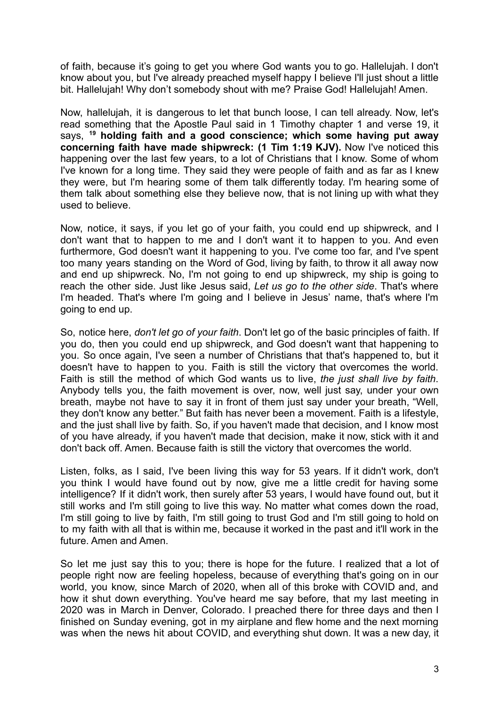of faith, because it's going to get you where God wants you to go. Hallelujah. I don't know about you, but I've already preached myself happy I believe I'll just shout a little bit. Hallelujah! Why don't somebody shout with me? Praise God! Hallelujah! Amen.

Now, hallelujah, it is dangerous to let that bunch loose, I can tell already. Now, let's read something that the Apostle Paul said in 1 Timothy chapter 1 and verse 19, it says, **<sup>19</sup> holding faith and a good conscience; which some having put away concerning faith have made shipwreck: (1 Tim 1:19 KJV).** Now I've noticed this happening over the last few years, to a lot of Christians that I know. Some of whom I've known for a long time. They said they were people of faith and as far as I knew they were, but I'm hearing some of them talk differently today. I'm hearing some of them talk about something else they believe now, that is not lining up with what they used to believe.

Now, notice, it says, if you let go of your faith, you could end up shipwreck, and I don't want that to happen to me and I don't want it to happen to you. And even furthermore, God doesn't want it happening to you. I've come too far, and I've spent too many years standing on the Word of God, living by faith, to throw it all away now and end up shipwreck. No, I'm not going to end up shipwreck, my ship is going to reach the other side. Just like Jesus said, *Let us go to the other side*. That's where I'm headed. That's where I'm going and I believe in Jesus' name, that's where I'm going to end up.

So, notice here, *don't let go of your faith*. Don't let go of the basic principles of faith. If you do, then you could end up shipwreck, and God doesn't want that happening to you. So once again, I've seen a number of Christians that that's happened to, but it doesn't have to happen to you. Faith is still the victory that overcomes the world. Faith is still the method of which God wants us to live, *the just shall live by faith*. Anybody tells you, the faith movement is over, now, well just say, under your own breath, maybe not have to say it in front of them just say under your breath, "Well, they don't know any better." But faith has never been a movement. Faith is a lifestyle, and the just shall live by faith. So, if you haven't made that decision, and I know most of you have already, if you haven't made that decision, make it now, stick with it and don't back off. Amen. Because faith is still the victory that overcomes the world.

Listen, folks, as I said, I've been living this way for 53 years. If it didn't work, don't you think I would have found out by now, give me a little credit for having some intelligence? If it didn't work, then surely after 53 years, I would have found out, but it still works and I'm still going to live this way. No matter what comes down the road, I'm still going to live by faith, I'm still going to trust God and I'm still going to hold on to my faith with all that is within me, because it worked in the past and it'll work in the future. Amen and Amen.

So let me just say this to you; there is hope for the future. I realized that a lot of people right now are feeling hopeless, because of everything that's going on in our world, you know, since March of 2020, when all of this broke with COVID and, and how it shut down everything. You've heard me say before, that my last meeting in 2020 was in March in Denver, Colorado. I preached there for three days and then I finished on Sunday evening, got in my airplane and flew home and the next morning was when the news hit about COVID, and everything shut down. It was a new day, it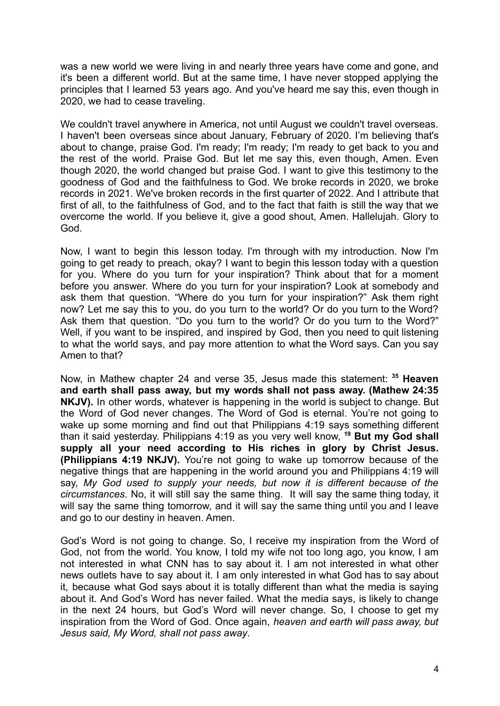was a new world we were living in and nearly three years have come and gone, and it's been a different world. But at the same time, I have never stopped applying the principles that I learned 53 years ago. And you've heard me say this, even though in 2020, we had to cease traveling.

We couldn't travel anywhere in America, not until August we couldn't travel overseas. I haven't been overseas since about January, February of 2020. I'm believing that's about to change, praise God. I'm ready; I'm ready; I'm ready to get back to you and the rest of the world. Praise God. But let me say this, even though, Amen. Even though 2020, the world changed but praise God. I want to give this testimony to the goodness of God and the faithfulness to God. We broke records in 2020, we broke records in 2021. We've broken records in the first quarter of 2022. And I attribute that first of all, to the faithfulness of God, and to the fact that faith is still the way that we overcome the world. If you believe it, give a good shout, Amen. Hallelujah. Glory to God.

Now, I want to begin this lesson today. I'm through with my introduction. Now I'm going to get ready to preach, okay? I want to begin this lesson today with a question for you. Where do you turn for your inspiration? Think about that for a moment before you answer. Where do you turn for your inspiration? Look at somebody and ask them that question. "Where do you turn for your inspiration?" Ask them right now? Let me say this to you, do you turn to the world? Or do you turn to the Word? Ask them that question. "Do you turn to the world? Or do you turn to the Word?" Well, if you want to be inspired, and inspired by God, then you need to quit listening to what the world says, and pay more attention to what the Word says. Can you say Amen to that?

Now, in Mathew chapter 24 and verse 35, Jesus made this statement: **<sup>35</sup> Heaven and earth shall pass away, but my words shall not pass away. (Mathew 24:35 NKJV).** In other words, whatever is happening in the world is subject to change. But the Word of God never changes. The Word of God is eternal. You're not going to wake up some morning and find out that Philippians 4:19 says something different than it said yesterday. Philippians 4:19 as you very well know, **<sup>19</sup> But my God shall supply all your need according to His riches in glory by Christ Jesus. (Philippians 4:19 NKJV).** You're not going to wake up tomorrow because of the negative things that are happening in the world around you and Philippians 4:19 will say, *My God used to supply your needs, but now it is different because of the circumstances*. No, it will still say the same thing. It will say the same thing today, it will say the same thing tomorrow, and it will say the same thing until you and I leave and go to our destiny in heaven. Amen.

God's Word is not going to change. So, I receive my inspiration from the Word of God, not from the world. You know, I told my wife not too long ago, you know, I am not interested in what CNN has to say about it. I am not interested in what other news outlets have to say about it. I am only interested in what God has to say about it, because what God says about it is totally different than what the media is saying about it. And God's Word has never failed. What the media says, is likely to change in the next 24 hours, but God's Word will never change. So, I choose to get my inspiration from the Word of God. Once again, *heaven and earth will pass away, but Jesus said, My Word, shall not pass away*.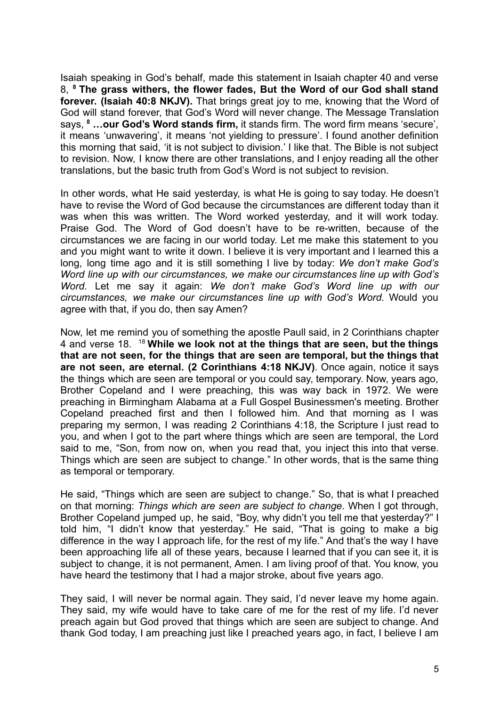Isaiah speaking in God's behalf, made this statement in Isaiah chapter 40 and verse 8, **<sup>8</sup> The grass withers, the flower fades, But the Word of our God shall stand forever. (Isaiah 40:8 NKJV).** That brings great joy to me, knowing that the Word of God will stand forever, that God's Word will never change. The Message Translation says, **<sup>8</sup> …our God's Word stands firm,** it stands firm. The word firm means 'secure', it means 'unwavering', it means 'not yielding to pressure'. I found another definition this morning that said, 'it is not subject to division.' I like that. The Bible is not subject to revision. Now, I know there are other translations, and I enjoy reading all the other translations, but the basic truth from God's Word is not subject to revision.

In other words, what He said yesterday, is what He is going to say today. He doesn't have to revise the Word of God because the circumstances are different today than it was when this was written. The Word worked yesterday, and it will work today. Praise God. The Word of God doesn't have to be re-written, because of the circumstances we are facing in our world today. Let me make this statement to you and you might want to write it down. I believe it is very important and I learned this a long, long time ago and it is still something I live by today: *We don't make God's Word line up with our circumstances, we make our circumstances line up with God's Word.* Let me say it again: *We don't make God's Word line up with our circumstances, we make our circumstances line up with God's Word.* Would you agree with that, if you do, then say Amen?

Now, let me remind you of something the apostle Paull said, in 2 Corinthians chapter 4 and verse 18. <sup>18</sup> **While we look not at the things that are seen, but the things that are not seen, for the things that are seen are temporal, but the things that are not seen, are eternal. (2 Corinthians 4:18 NKJV)**. Once again, notice it says the things which are seen are temporal or you could say, temporary. Now, years ago, Brother Copeland and I were preaching, this was way back in 1972. We were preaching in Birmingham Alabama at a Full Gospel Businessmen's meeting. Brother Copeland preached first and then I followed him. And that morning as I was preparing my sermon, I was reading 2 Corinthians 4:18, the Scripture I just read to you, and when I got to the part where things which are seen are temporal, the Lord said to me, "Son, from now on, when you read that, you inject this into that verse. Things which are seen are subject to change." In other words, that is the same thing as temporal or temporary.

He said, "Things which are seen are subject to change." So, that is what I preached on that morning: *Things which are seen are subject to change*. When I got through, Brother Copeland jumped up, he said, "Boy, why didn't you tell me that yesterday?" I told him, "I didn't know that yesterday." He said, "That is going to make a big difference in the way I approach life, for the rest of my life." And that's the way I have been approaching life all of these years, because I learned that if you can see it, it is subject to change, it is not permanent, Amen. I am living proof of that. You know, you have heard the testimony that I had a major stroke, about five years ago.

They said, I will never be normal again. They said, I'd never leave my home again. They said, my wife would have to take care of me for the rest of my life. I'd never preach again but God proved that things which are seen are subject to change. And thank God today, I am preaching just like I preached years ago, in fact, I believe I am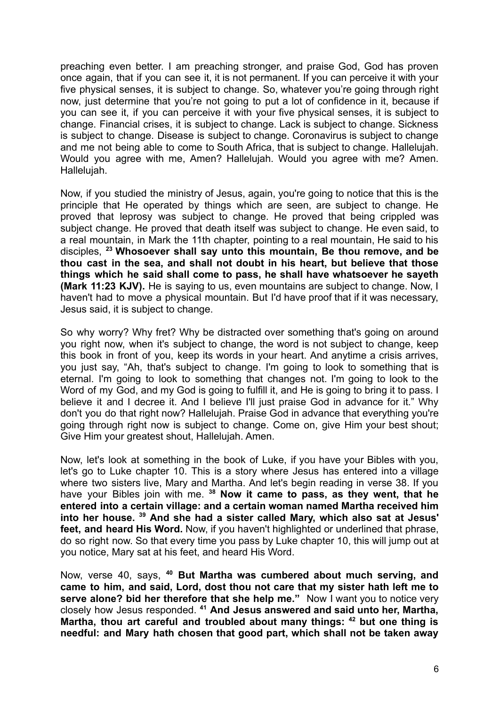preaching even better. I am preaching stronger, and praise God, God has proven once again, that if you can see it, it is not permanent. If you can perceive it with your five physical senses, it is subject to change. So, whatever you're going through right now, just determine that you're not going to put a lot of confidence in it, because if you can see it, if you can perceive it with your five physical senses, it is subject to change. Financial crises, it is subject to change. Lack is subject to change. Sickness is subject to change. Disease is subject to change. Coronavirus is subject to change and me not being able to come to South Africa, that is subject to change. Hallelujah. Would you agree with me, Amen? Hallelujah. Would you agree with me? Amen. Hallelujah.

Now, if you studied the ministry of Jesus, again, you're going to notice that this is the principle that He operated by things which are seen, are subject to change. He proved that leprosy was subject to change. He proved that being crippled was subject change. He proved that death itself was subject to change. He even said, to a real mountain, in Mark the 11th chapter, pointing to a real mountain, He said to his disciples, **<sup>23</sup> Whosoever shall say unto this mountain, Be thou remove, and be thou cast in the sea, and shall not doubt in his heart, but believe that those things which he said shall come to pass, he shall have whatsoever he sayeth (Mark 11:23 KJV).** He is saying to us, even mountains are subject to change. Now, I haven't had to move a physical mountain. But I'd have proof that if it was necessary, Jesus said, it is subject to change.

So why worry? Why fret? Why be distracted over something that's going on around you right now, when it's subject to change, the word is not subject to change, keep this book in front of you, keep its words in your heart. And anytime a crisis arrives, you just say, "Ah, that's subject to change. I'm going to look to something that is eternal. I'm going to look to something that changes not. I'm going to look to the Word of my God, and my God is going to fulfill it, and He is going to bring it to pass. I believe it and I decree it. And I believe I'll just praise God in advance for it." Why don't you do that right now? Hallelujah. Praise God in advance that everything you're going through right now is subject to change. Come on, give Him your best shout; Give Him your greatest shout, Hallelujah. Amen.

Now, let's look at something in the book of Luke, if you have your Bibles with you, let's go to Luke chapter 10. This is a story where Jesus has entered into a village where two sisters live, Mary and Martha. And let's begin reading in verse 38. If you have your Bibles join with me. **<sup>38</sup> Now it came to pass, as they went, that he entered into a certain village: and a certain woman named Martha received him into her house. <sup>39</sup> And she had a sister called Mary, which also sat at Jesus' feet, and heard His Word.** Now, if you haven't highlighted or underlined that phrase, do so right now. So that every time you pass by Luke chapter 10, this will jump out at you notice, Mary sat at his feet, and heard His Word.

Now, verse 40, says, **<sup>40</sup> But Martha was cumbered about much serving, and came to him, and said, Lord, dost thou not care that my sister hath left me to serve alone? bid her therefore that she help me."** Now I want you to notice very closely how Jesus responded. **<sup>41</sup> And Jesus answered and said unto her, Martha, Martha, thou art careful and troubled about many things: <sup>42</sup> but one thing is needful: and Mary hath chosen that good part, which shall not be taken away**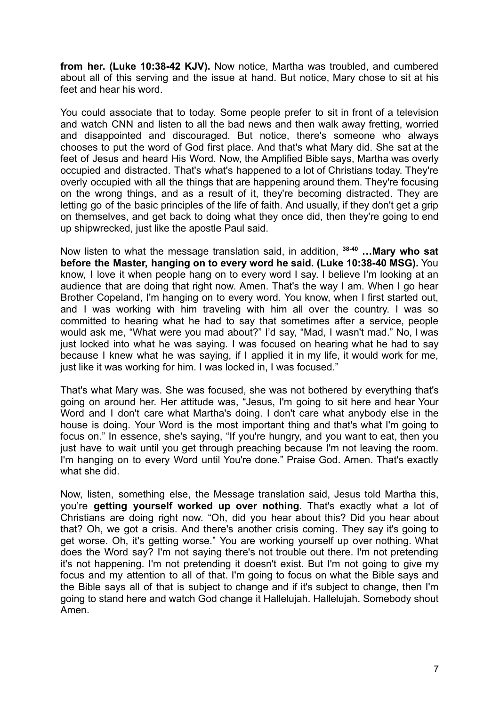**from her. (Luke 10:38-42 KJV).** Now notice, Martha was troubled, and cumbered about all of this serving and the issue at hand. But notice, Mary chose to sit at his feet and hear his word.

You could associate that to today. Some people prefer to sit in front of a television and watch CNN and listen to all the bad news and then walk away fretting, worried and disappointed and discouraged. But notice, there's someone who always chooses to put the word of God first place. And that's what Mary did. She sat at the feet of Jesus and heard His Word. Now, the Amplified Bible says, Martha was overly occupied and distracted. That's what's happened to a lot of Christians today. They're overly occupied with all the things that are happening around them. They're focusing on the wrong things, and as a result of it, they're becoming distracted. They are letting go of the basic principles of the life of faith. And usually, if they don't get a grip on themselves, and get back to doing what they once did, then they're going to end up shipwrecked, just like the apostle Paul said.

Now listen to what the message translation said, in addition, **38-40 …Mary who sat before the Master, hanging on to every word he said. (Luke 10:38-40 MSG).** You know, I love it when people hang on to every word I say. I believe I'm looking at an audience that are doing that right now. Amen. That's the way I am. When I go hear Brother Copeland, I'm hanging on to every word. You know, when I first started out, and I was working with him traveling with him all over the country. I was so committed to hearing what he had to say that sometimes after a service, people would ask me, "What were you mad about?" I'd say, "Mad, I wasn't mad." No, I was just locked into what he was saying. I was focused on hearing what he had to say because I knew what he was saying, if I applied it in my life, it would work for me, just like it was working for him. I was locked in, I was focused."

That's what Mary was. She was focused, she was not bothered by everything that's going on around her. Her attitude was, "Jesus, I'm going to sit here and hear Your Word and I don't care what Martha's doing. I don't care what anybody else in the house is doing. Your Word is the most important thing and that's what I'm going to focus on." In essence, she's saying, "If you're hungry, and you want to eat, then you just have to wait until you get through preaching because I'm not leaving the room. I'm hanging on to every Word until You're done." Praise God. Amen. That's exactly what she did.

Now, listen, something else, the Message translation said, Jesus told Martha this, you're **getting yourself worked up over nothing.** That's exactly what a lot of Christians are doing right now. "Oh, did you hear about this? Did you hear about that? Oh, we got a crisis. And there's another crisis coming. They say it's going to get worse. Oh, it's getting worse." You are working yourself up over nothing. What does the Word say? I'm not saying there's not trouble out there. I'm not pretending it's not happening. I'm not pretending it doesn't exist. But I'm not going to give my focus and my attention to all of that. I'm going to focus on what the Bible says and the Bible says all of that is subject to change and if it's subject to change, then I'm going to stand here and watch God change it Hallelujah. Hallelujah. Somebody shout Amen.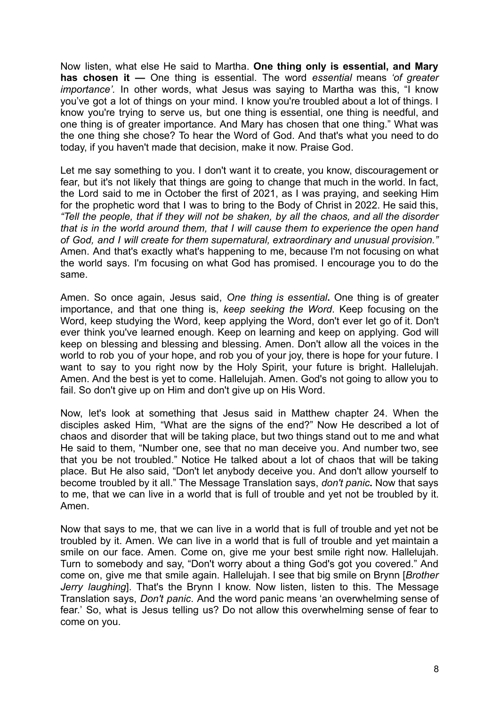Now listen, what else He said to Martha. **One thing only is essential, and Mary has chosen it —** One thing is essential. The word *essential* means *'of greater importance'.* In other words, what Jesus was saying to Martha was this, "I know you've got a lot of things on your mind. I know you're troubled about a lot of things. I know you're trying to serve us, but one thing is essential, one thing is needful, and one thing is of greater importance. And Mary has chosen that one thing." What was the one thing she chose? To hear the Word of God. And that's what you need to do today, if you haven't made that decision, make it now. Praise God.

Let me say something to you. I don't want it to create, you know, discouragement or fear, but it's not likely that things are going to change that much in the world. In fact, the Lord said to me in October the first of 2021, as I was praying, and seeking Him for the prophetic word that I was to bring to the Body of Christ in 2022. He said this, *"Tell the people, that if they will not be shaken, by all the chaos, and all the disorder that is in the world around them, that I will cause them to experience the open hand of God, and I will create for them supernatural, extraordinary and unusual provision."* Amen. And that's exactly what's happening to me, because I'm not focusing on what the world says. I'm focusing on what God has promised. I encourage you to do the same.

Amen. So once again, Jesus said, *One thing is essential***.** One thing is of greater importance, and that one thing is, *keep seeking the Word*. Keep focusing on the Word, keep studying the Word, keep applying the Word, don't ever let go of it. Don't ever think you've learned enough. Keep on learning and keep on applying. God will keep on blessing and blessing and blessing. Amen. Don't allow all the voices in the world to rob you of your hope, and rob you of your joy, there is hope for your future. I want to say to you right now by the Holy Spirit, your future is bright. Hallelujah. Amen. And the best is yet to come. Hallelujah. Amen. God's not going to allow you to fail. So don't give up on Him and don't give up on His Word.

Now, let's look at something that Jesus said in Matthew chapter 24. When the disciples asked Him, "What are the signs of the end?" Now He described a lot of chaos and disorder that will be taking place, but two things stand out to me and what He said to them, "Number one, see that no man deceive you. And number two, see that you be not troubled." Notice He talked about a lot of chaos that will be taking place. But He also said, "Don't let anybody deceive you. And don't allow yourself to become troubled by it all." The Message Translation says, *don't panic***.** Now that says to me, that we can live in a world that is full of trouble and yet not be troubled by it. Amen.

Now that says to me, that we can live in a world that is full of trouble and yet not be troubled by it. Amen. We can live in a world that is full of trouble and yet maintain a smile on our face. Amen. Come on, give me your best smile right now. Hallelujah. Turn to somebody and say, "Don't worry about a thing God's got you covered." And come on, give me that smile again. Hallelujah. I see that big smile on Brynn [*Brother Jerry laughing*]. That's the Brynn I know. Now listen, listen to this. The Message Translation says, *Don't panic*. And the word panic means 'an overwhelming sense of fear.' So, what is Jesus telling us? Do not allow this overwhelming sense of fear to come on you.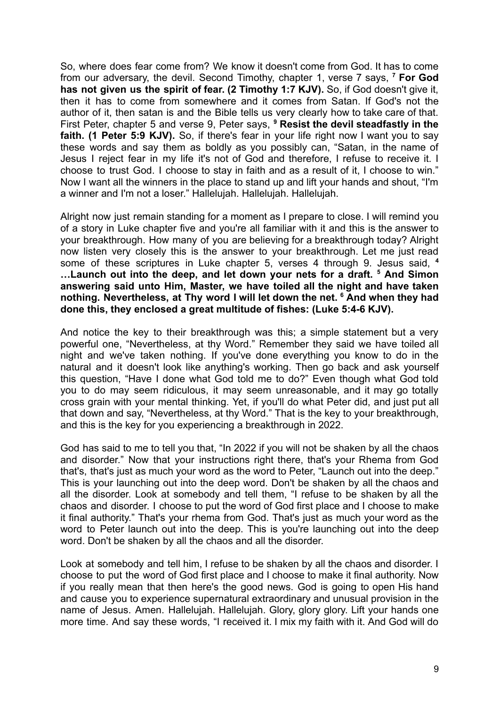So, where does fear come from? We know it doesn't come from God. It has to come from our adversary, the devil. Second Timothy, chapter 1, verse 7 says, **<sup>7</sup> For God has not given us the spirit of fear. (2 Timothy 1:7 KJV).** So, if God doesn't give it, then it has to come from somewhere and it comes from Satan. If God's not the author of it, then satan is and the Bible tells us very clearly how to take care of that. First Peter, chapter 5 and verse 9, Peter says, **<sup>9</sup> Resist the devil steadfastly in the faith. (1 Peter 5:9 KJV).** So, if there's fear in your life right now I want you to say these words and say them as boldly as you possibly can, "Satan, in the name of Jesus I reject fear in my life it's not of God and therefore, I refuse to receive it. I choose to trust God. I choose to stay in faith and as a result of it, I choose to win." Now I want all the winners in the place to stand up and lift your hands and shout, "I'm a winner and I'm not a loser." Hallelujah. Hallelujah. Hallelujah.

Alright now just remain standing for a moment as I prepare to close. I will remind you of a story in Luke chapter five and you're all familiar with it and this is the answer to your breakthrough. How many of you are believing for a breakthrough today? Alright now listen very closely this is the answer to your breakthrough. Let me just read some of these scriptures in Luke chapter 5, verses 4 through 9. Jesus said, **<sup>4</sup> …Launch out into the deep, and let down your nets for a draft. <sup>5</sup> And Simon answering said unto Him, Master, we have toiled all the night and have taken nothing. Nevertheless, at Thy word I will let down the net. <sup>6</sup> And when they had done this, they enclosed a great multitude of fishes: (Luke 5:4-6 KJV).**

And notice the key to their breakthrough was this; a simple statement but a very powerful one, "Nevertheless, at thy Word." Remember they said we have toiled all night and we've taken nothing. If you've done everything you know to do in the natural and it doesn't look like anything's working. Then go back and ask yourself this question, "Have I done what God told me to do?" Even though what God told you to do may seem ridiculous, it may seem unreasonable, and it may go totally cross grain with your mental thinking. Yet, if you'll do what Peter did, and just put all that down and say, "Nevertheless, at thy Word." That is the key to your breakthrough, and this is the key for you experiencing a breakthrough in 2022.

God has said to me to tell you that, "In 2022 if you will not be shaken by all the chaos and disorder." Now that your instructions right there, that's your Rhema from God that's, that's just as much your word as the word to Peter, "Launch out into the deep." This is your launching out into the deep word. Don't be shaken by all the chaos and all the disorder. Look at somebody and tell them, "I refuse to be shaken by all the chaos and disorder. I choose to put the word of God first place and I choose to make it final authority." That's your rhema from God. That's just as much your word as the word to Peter launch out into the deep. This is you're launching out into the deep word. Don't be shaken by all the chaos and all the disorder.

Look at somebody and tell him, I refuse to be shaken by all the chaos and disorder. I choose to put the word of God first place and I choose to make it final authority. Now if you really mean that then here's the good news. God is going to open His hand and cause you to experience supernatural extraordinary and unusual provision in the name of Jesus. Amen. Hallelujah. Hallelujah. Glory, glory glory. Lift your hands one more time. And say these words, "I received it. I mix my faith with it. And God will do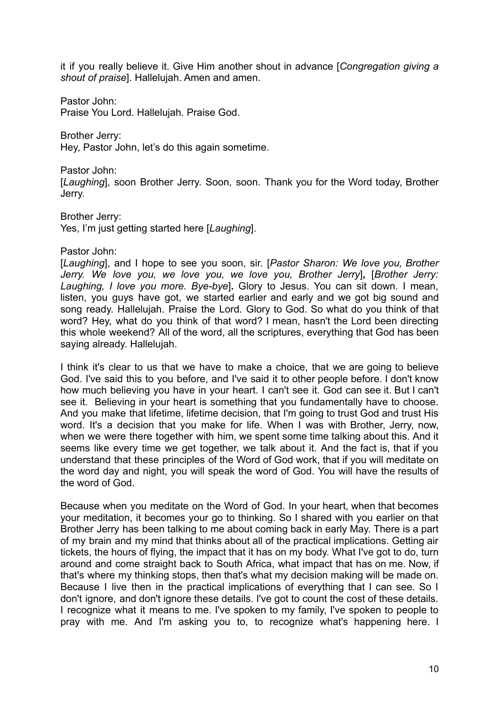it if you really believe it. Give Him another shout in advance [*Congregation giving a shout of praise*]. Hallelujah. Amen and amen.

Pastor John:

Praise You Lord. Hallelujah. Praise God.

Brother Jerry: Hey, Pastor John, let's do this again sometime.

Pastor John:

[*Laughing*], soon Brother Jerry. Soon, soon. Thank you for the Word today, Brother Jerry.

Brother Jerry:

Yes, I'm just getting started here [*Laughing*].

Pastor John:

[*Laughing*], and I hope to see you soon, sir. [*Pastor Sharon: We love you, Brother Jerry. We love you, we love you, we love you, Brother Jerry*]**,** [*Brother Jerry: Laughing, I love you more. Bye-bye*]**.** Glory to Jesus. You can sit down. I mean, listen, you guys have got, we started earlier and early and we got big sound and song ready. Hallelujah. Praise the Lord. Glory to God. So what do you think of that word? Hey, what do you think of that word? I mean, hasn't the Lord been directing this whole weekend? All of the word, all the scriptures, everything that God has been saying already. Hallelujah.

I think it's clear to us that we have to make a choice, that we are going to believe God. I've said this to you before, and I've said it to other people before. I don't know how much believing you have in your heart. I can't see it. God can see it. But I can't see it. Believing in your heart is something that you fundamentally have to choose. And you make that lifetime, lifetime decision, that I'm going to trust God and trust His word. It's a decision that you make for life. When I was with Brother, Jerry, now, when we were there together with him, we spent some time talking about this. And it seems like every time we get together, we talk about it. And the fact is, that if you understand that these principles of the Word of God work, that if you will meditate on the word day and night, you will speak the word of God. You will have the results of the word of God.

Because when you meditate on the Word of God. In your heart, when that becomes your meditation, it becomes your go to thinking. So I shared with you earlier on that Brother Jerry has been talking to me about coming back in early May. There is a part of my brain and my mind that thinks about all of the practical implications. Getting air tickets, the hours of flying, the impact that it has on my body. What I've got to do, turn around and come straight back to South Africa, what impact that has on me. Now, if that's where my thinking stops, then that's what my decision making will be made on. Because I live then in the practical implications of everything that I can see. So I don't ignore, and don't ignore these details. I've got to count the cost of these details. I recognize what it means to me. I've spoken to my family, I've spoken to people to pray with me. And I'm asking you to, to recognize what's happening here. I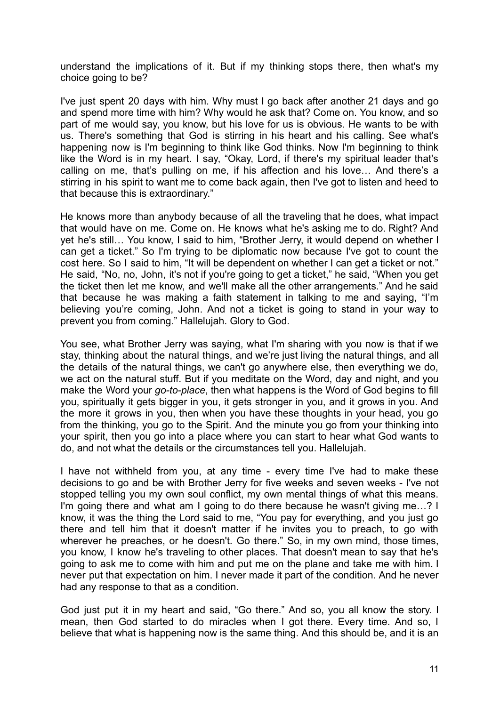understand the implications of it. But if my thinking stops there, then what's my choice going to be?

I've just spent 20 days with him. Why must I go back after another 21 days and go and spend more time with him? Why would he ask that? Come on. You know, and so part of me would say, you know, but his love for us is obvious. He wants to be with us. There's something that God is stirring in his heart and his calling. See what's happening now is I'm beginning to think like God thinks. Now I'm beginning to think like the Word is in my heart. I say, "Okay, Lord, if there's my spiritual leader that's calling on me, that's pulling on me, if his affection and his love… And there's a stirring in his spirit to want me to come back again, then I've got to listen and heed to that because this is extraordinary."

He knows more than anybody because of all the traveling that he does, what impact that would have on me. Come on. He knows what he's asking me to do. Right? And yet he's still… You know, I said to him, "Brother Jerry, it would depend on whether I can get a ticket." So I'm trying to be diplomatic now because I've got to count the cost here. So I said to him, "It will be dependent on whether I can get a ticket or not." He said, "No, no, John, it's not if you're going to get a ticket," he said, "When you get the ticket then let me know, and we'll make all the other arrangements." And he said that because he was making a faith statement in talking to me and saying, "I'm believing you're coming, John. And not a ticket is going to stand in your way to prevent you from coming." Hallelujah. Glory to God.

You see, what Brother Jerry was saying, what I'm sharing with you now is that if we stay, thinking about the natural things, and we're just living the natural things, and all the details of the natural things, we can't go anywhere else, then everything we do, we act on the natural stuff. But if you meditate on the Word, day and night, and you make the Word your *go-to-place*, then what happens is the Word of God begins to fill you, spiritually it gets bigger in you, it gets stronger in you, and it grows in you. And the more it grows in you, then when you have these thoughts in your head, you go from the thinking, you go to the Spirit. And the minute you go from your thinking into your spirit, then you go into a place where you can start to hear what God wants to do, and not what the details or the circumstances tell you. Hallelujah.

I have not withheld from you, at any time - every time I've had to make these decisions to go and be with Brother Jerry for five weeks and seven weeks - I've not stopped telling you my own soul conflict, my own mental things of what this means. I'm going there and what am I going to do there because he wasn't giving me…? I know, it was the thing the Lord said to me, "You pay for everything, and you just go there and tell him that it doesn't matter if he invites you to preach, to go with wherever he preaches, or he doesn't. Go there." So, in my own mind, those times, you know, I know he's traveling to other places. That doesn't mean to say that he's going to ask me to come with him and put me on the plane and take me with him. I never put that expectation on him. I never made it part of the condition. And he never had any response to that as a condition.

God just put it in my heart and said, "Go there." And so, you all know the story. I mean, then God started to do miracles when I got there. Every time. And so, I believe that what is happening now is the same thing. And this should be, and it is an